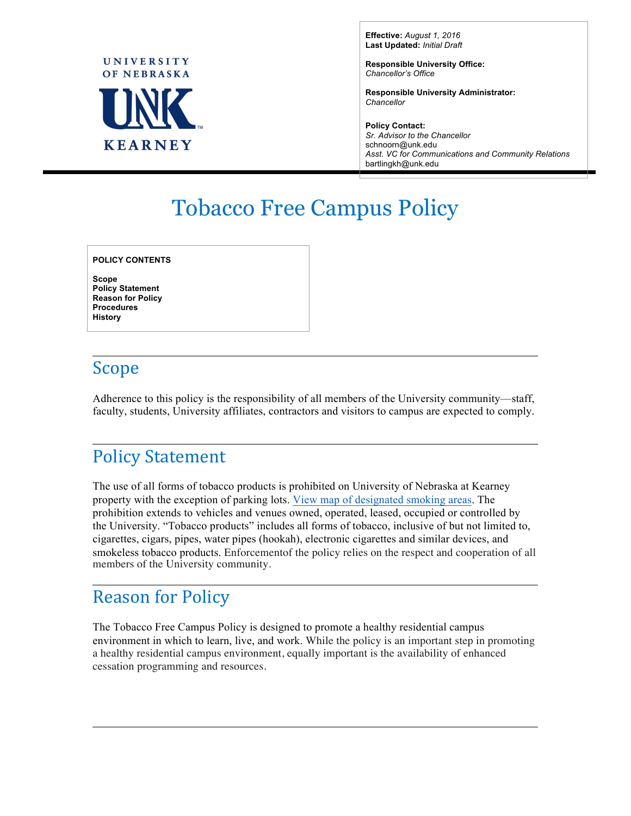

**Effective:** *August 1, 2016* **Last Updated:** *Initial Draft*

**Responsible University Office:** *Chancellor's Office*

**Responsible University Administrator:** *Chancellor*

**Policy Contact:** *Sr. Advisor to the Chancellor* schnoorn@unk.edu *Asst. VC for Communications and Community Relations* bartlingkh@unk.edu

# Tobacco Free Campus Policy

**POLICY CONTENTS**

**Scope Policy Statement Reason for Policy Procedures History**

## Scope

Adherence to this policy is the responsibility of all members of the University community—staff, faculty, students, University affiliates, contractors and visitors to campus are expected to comply.

## **Policy Statement**

The use of all forms of tobacco products is prohibited on University of Nebraska at Kearney property with the exception of parking lots. [View map of designated smoking areas.](http://www.unk.edu/about/files/campus-smoking-zones-map.pdf) The prohibition extends to vehicles and venues owned, operated, leased, occupied or controlled by the University. "Tobacco products" includes all forms of tobacco, inclusive of but not limited to, cigarettes, cigars, pipes, water pipes (hookah), electronic cigarettes and similar devices, and smokeless tobacco products. Enforcementof the policy relies on the respect and cooperation of all members of the University community.

#### **Reason for Policy**

The Tobacco Free Campus Policy is designed to promote a healthy residential campus environment in which to learn, live, and work. While the policy is an important step in promoting a healthy residential campus environment, equally important is the availability of enhanced cessation programming and resources.